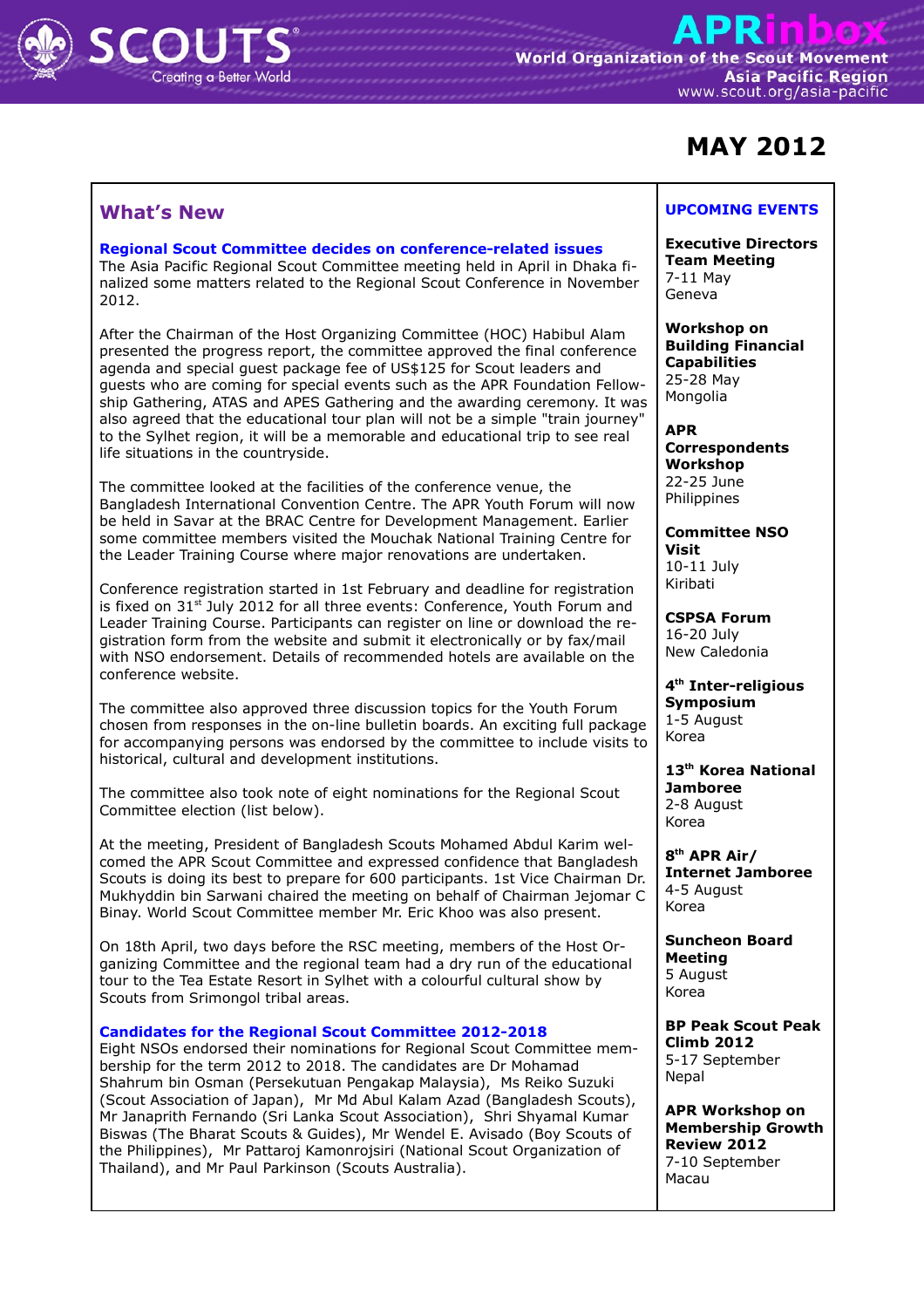

# **MAY 2012**

# **What's New**

#### **Regional Scout Committee decides on conference-related issues**

The Asia Pacific Regional Scout Committee meeting held in April in Dhaka finalized some matters related to the Regional Scout Conference in November 2012.

After the Chairman of the Host Organizing Committee (HOC) Habibul Alam presented the progress report, the committee approved the final conference agenda and special guest package fee of US\$125 for Scout leaders and guests who are coming for special events such as the APR Foundation Fellowship Gathering, ATAS and APES Gathering and the awarding ceremony. It was also agreed that the educational tour plan will not be a simple "train journey" to the Sylhet region, it will be a memorable and educational trip to see real life situations in the countryside.

The committee looked at the facilities of the conference venue, the Bangladesh International Convention Centre. The APR Youth Forum will now be held in Savar at the BRAC Centre for Development Management. Earlier some committee members visited the Mouchak National Training Centre for the Leader Training Course where major renovations are undertaken.

Conference registration started in 1st February and deadline for registration is fixed on 31<sup>st</sup> July 2012 for all three events: Conference, Youth Forum and Leader Training Course. Participants can register on line or download the registration form from the website and submit it electronically or by fax/mail with NSO endorsement. Details of recommended hotels are available on the conference website.

The committee also approved three discussion topics for the Youth Forum chosen from responses in the on-line bulletin boards. An exciting full package for accompanying persons was endorsed by the committee to include visits to historical, cultural and development institutions.

The committee also took note of eight nominations for the Regional Scout Committee election (list below).

At the meeting, President of Bangladesh Scouts Mohamed Abdul Karim welcomed the APR Scout Committee and expressed confidence that Bangladesh Scouts is doing its best to prepare for 600 participants. 1st Vice Chairman Dr. Mukhyddin bin Sarwani chaired the meeting on behalf of Chairman Jejomar C Binay. World Scout Committee member Mr. Eric Khoo was also present.

On 18th April, two days before the RSC meeting, members of the Host Organizing Committee and the regional team had a dry run of the educational tour to the Tea Estate Resort in Sylhet with a colourful cultural show by Scouts from Srimongol tribal areas.

## **Candidates for the Regional Scout Committee 2012-2018**

Eight NSOs endorsed their nominations for Regional Scout Committee membership for the term 2012 to 2018. The candidates are Dr Mohamad Shahrum bin Osman (Persekutuan Pengakap Malaysia), Ms Reiko Suzuki (Scout Association of Japan), Mr Md Abul Kalam Azad (Bangladesh Scouts), Mr Janaprith Fernando (Sri Lanka Scout Association), Shri Shyamal Kumar Biswas (The Bharat Scouts & Guides), Mr Wendel E. Avisado (Boy Scouts of the Philippines), Mr Pattaroj Kamonrojsiri (National Scout Organization of Thailand), and Mr Paul Parkinson (Scouts Australia).

## **UPCOMING EVENTS**

**Executive Directors Team Meeting** 7-11 May Geneva

**Workshop on Building Financial Capabilities** 25-28 May Mongolia

**APR Correspondents Workshop** 22-25 June **Philippines** 

**Committee NSO Visit** 10-11 July Kiribati

**CSPSA Forum** 16-20 July New Caledonia

**4 th Inter-religious Symposium** 1-5 August Korea

**13 th Korea National Jamboree** 2-8 August Korea

**8 th APR Air/ Internet Jamboree** 4-5 August Korea

**Suncheon Board Meeting** 5 August Korea

**BP Peak Scout Peak Climb 2012** 5-17 September Nepal

**APR Workshop on Membership Growth Review 2012** 7-10 September Macau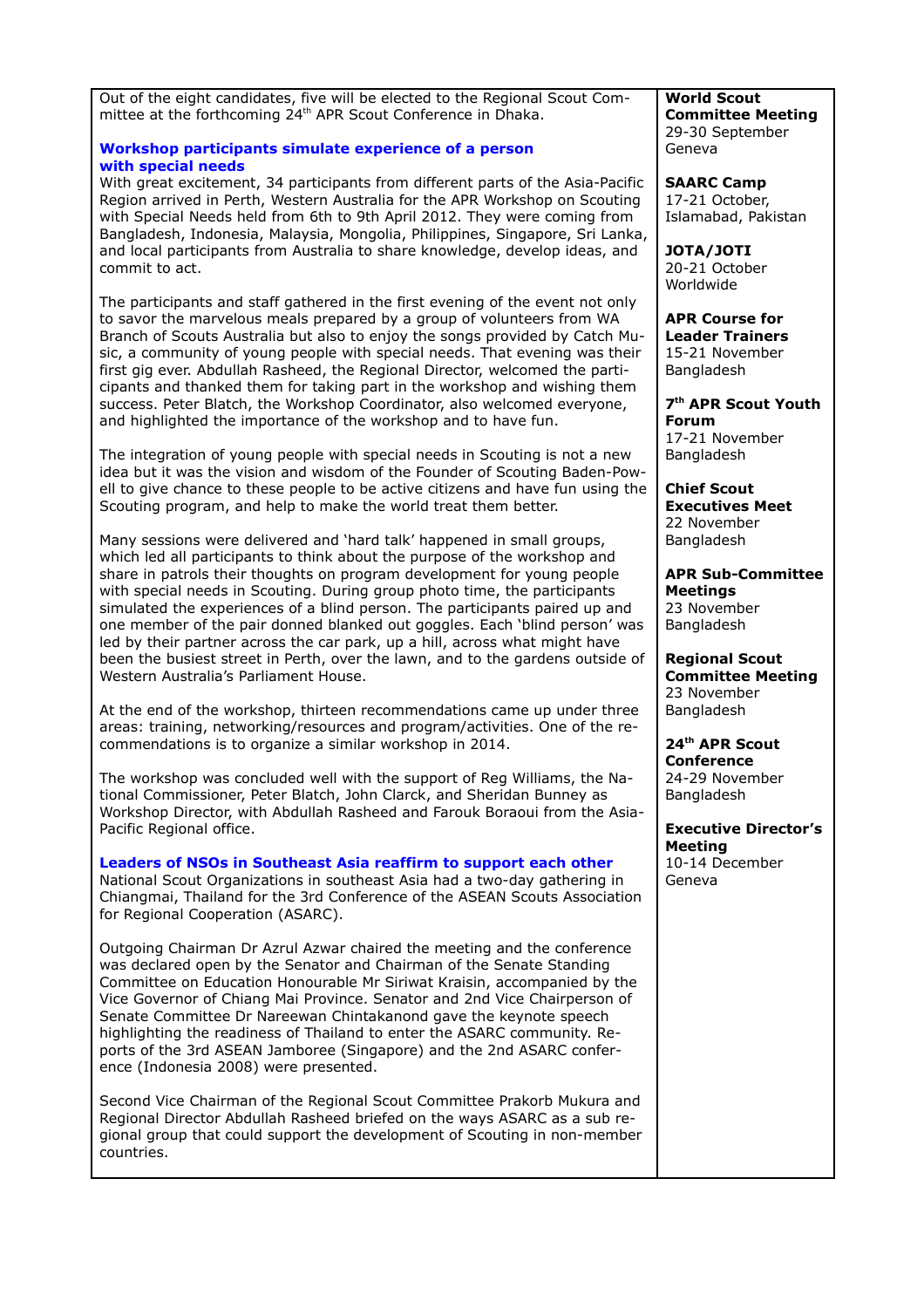| Out of the eight candidates, five will be elected to the Regional Scout Com-<br>mittee at the forthcoming 24 <sup>th</sup> APR Scout Conference in Dhaka.                                                                                                                                                                                                                                                                                                                                                                                                                   | <b>World Scout</b><br><b>Committee Meeting</b><br>29-30 September                                                  |
|-----------------------------------------------------------------------------------------------------------------------------------------------------------------------------------------------------------------------------------------------------------------------------------------------------------------------------------------------------------------------------------------------------------------------------------------------------------------------------------------------------------------------------------------------------------------------------|--------------------------------------------------------------------------------------------------------------------|
| <b>Workshop participants simulate experience of a person</b><br>with special needs                                                                                                                                                                                                                                                                                                                                                                                                                                                                                          | Geneva                                                                                                             |
| With great excitement, 34 participants from different parts of the Asia-Pacific<br>Region arrived in Perth, Western Australia for the APR Workshop on Scouting<br>with Special Needs held from 6th to 9th April 2012. They were coming from<br>Bangladesh, Indonesia, Malaysia, Mongolia, Philippines, Singapore, Sri Lanka,                                                                                                                                                                                                                                                | <b>SAARC Camp</b><br>17-21 October,<br>Islamabad, Pakistan                                                         |
| and local participants from Australia to share knowledge, develop ideas, and<br>commit to act.                                                                                                                                                                                                                                                                                                                                                                                                                                                                              | <b>JOTA/JOTI</b><br>20-21 October<br>Worldwide                                                                     |
| The participants and staff gathered in the first evening of the event not only<br>to savor the marvelous meals prepared by a group of volunteers from WA<br>Branch of Scouts Australia but also to enjoy the songs provided by Catch Mu-<br>sic, a community of young people with special needs. That evening was their<br>first gig ever. Abdullah Rasheed, the Regional Director, welcomed the parti-<br>cipants and thanked them for taking part in the workshop and wishing them<br>success. Peter Blatch, the Workshop Coordinator, also welcomed everyone,            | <b>APR Course for</b><br><b>Leader Trainers</b><br>15-21 November<br>Bangladesh<br>7 <sup>th</sup> APR Scout Youth |
| and highlighted the importance of the workshop and to have fun.                                                                                                                                                                                                                                                                                                                                                                                                                                                                                                             | <b>Forum</b><br>17-21 November                                                                                     |
| The integration of young people with special needs in Scouting is not a new<br>idea but it was the vision and wisdom of the Founder of Scouting Baden-Pow-<br>ell to give chance to these people to be active citizens and have fun using the                                                                                                                                                                                                                                                                                                                               | Bangladesh<br><b>Chief Scout</b>                                                                                   |
| Scouting program, and help to make the world treat them better.                                                                                                                                                                                                                                                                                                                                                                                                                                                                                                             | <b>Executives Meet</b><br>22 November                                                                              |
| Many sessions were delivered and 'hard talk' happened in small groups,<br>which led all participants to think about the purpose of the workshop and<br>share in patrols their thoughts on program development for young people<br>with special needs in Scouting. During group photo time, the participants<br>simulated the experiences of a blind person. The participants paired up and<br>one member of the pair donned blanked out goggles. Each 'blind person' was<br>led by their partner across the car park, up a hill, across what might have                     | Bangladesh<br><b>APR Sub-Committee</b><br><b>Meetings</b><br>23 November<br>Bangladesh                             |
| been the busiest street in Perth, over the lawn, and to the gardens outside of<br>Western Australia's Parliament House.                                                                                                                                                                                                                                                                                                                                                                                                                                                     | <b>Regional Scout</b><br><b>Committee Meeting</b><br>23 November                                                   |
| At the end of the workshop, thirteen recommendations came up under three<br>areas: training, networking/resources and program/activities. One of the re-<br>commendations is to organize a similar workshop in 2014.                                                                                                                                                                                                                                                                                                                                                        | Bangladesh<br>24 <sup>th</sup> APR Scout                                                                           |
| The workshop was concluded well with the support of Reg Williams, the Na-<br>tional Commissioner, Peter Blatch, John Clarck, and Sheridan Bunney as                                                                                                                                                                                                                                                                                                                                                                                                                         | <b>Conference</b><br>24-29 November<br>Bangladesh                                                                  |
| Workshop Director, with Abdullah Rasheed and Farouk Boraoui from the Asia-<br>Pacific Regional office.                                                                                                                                                                                                                                                                                                                                                                                                                                                                      | <b>Executive Director's</b>                                                                                        |
| Leaders of NSOs in Southeast Asia reaffirm to support each other<br>National Scout Organizations in southeast Asia had a two-day gathering in<br>Chiangmai, Thailand for the 3rd Conference of the ASEAN Scouts Association<br>for Regional Cooperation (ASARC).                                                                                                                                                                                                                                                                                                            | <b>Meeting</b><br>10-14 December<br>Geneva                                                                         |
| Outgoing Chairman Dr Azrul Azwar chaired the meeting and the conference<br>was declared open by the Senator and Chairman of the Senate Standing<br>Committee on Education Honourable Mr Siriwat Kraisin, accompanied by the<br>Vice Governor of Chiang Mai Province. Senator and 2nd Vice Chairperson of<br>Senate Committee Dr Nareewan Chintakanond gave the keynote speech<br>highlighting the readiness of Thailand to enter the ASARC community. Re-<br>ports of the 3rd ASEAN Jamboree (Singapore) and the 2nd ASARC confer-<br>ence (Indonesia 2008) were presented. |                                                                                                                    |
| Second Vice Chairman of the Regional Scout Committee Prakorb Mukura and<br>Regional Director Abdullah Rasheed briefed on the ways ASARC as a sub re-<br>gional group that could support the development of Scouting in non-member<br>countries.                                                                                                                                                                                                                                                                                                                             |                                                                                                                    |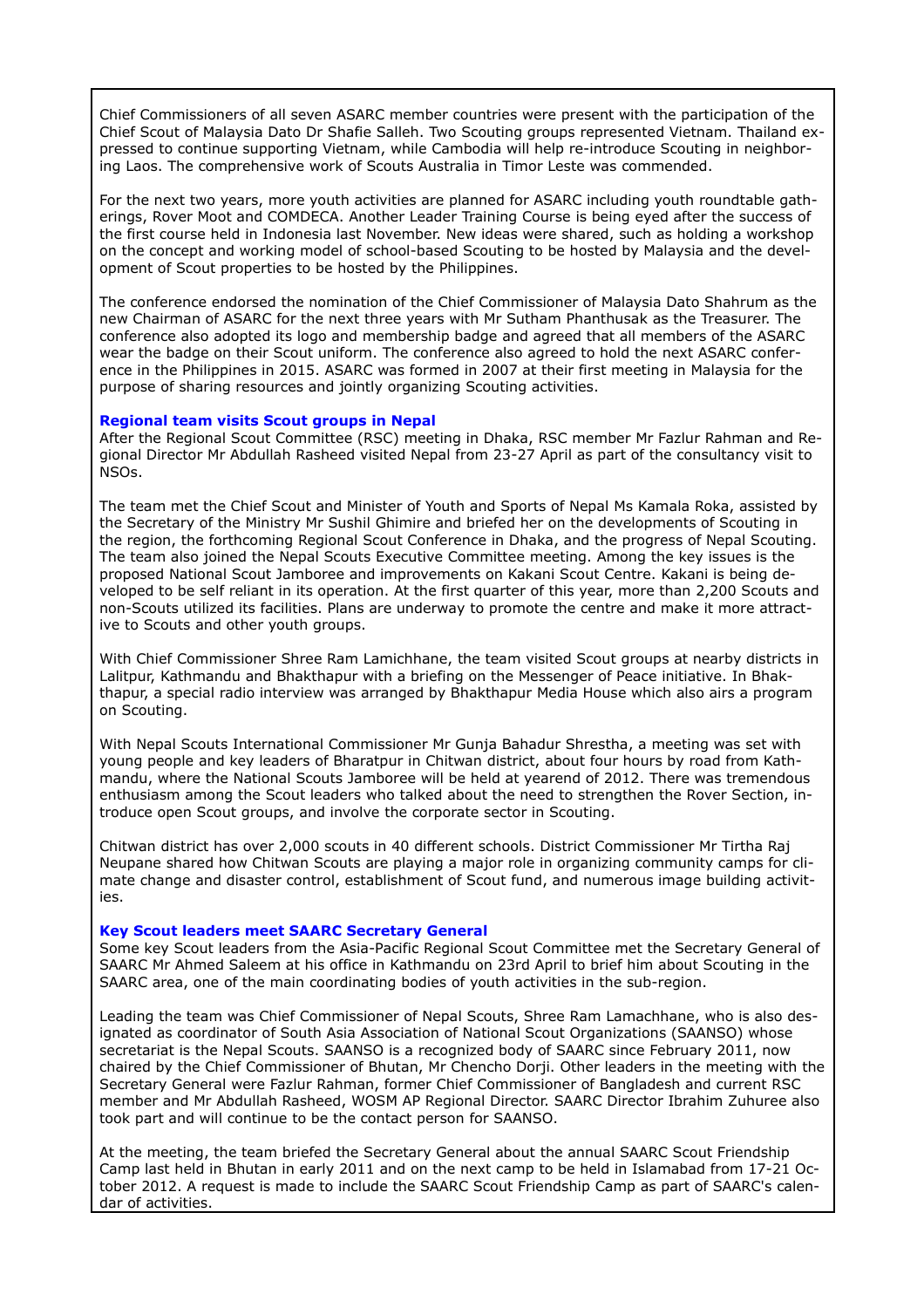Chief Commissioners of all seven ASARC member countries were present with the participation of the Chief Scout of Malaysia Dato Dr Shafie Salleh. Two Scouting groups represented Vietnam. Thailand expressed to continue supporting Vietnam, while Cambodia will help re-introduce Scouting in neighboring Laos. The comprehensive work of Scouts Australia in Timor Leste was commended.

For the next two years, more youth activities are planned for ASARC including youth roundtable gatherings, Rover Moot and COMDECA. Another Leader Training Course is being eyed after the success of the first course held in Indonesia last November. New ideas were shared, such as holding a workshop on the concept and working model of school-based Scouting to be hosted by Malaysia and the development of Scout properties to be hosted by the Philippines.

The conference endorsed the nomination of the Chief Commissioner of Malaysia Dato Shahrum as the new Chairman of ASARC for the next three years with Mr Sutham Phanthusak as the Treasurer. The conference also adopted its logo and membership badge and agreed that all members of the ASARC wear the badge on their Scout uniform. The conference also agreed to hold the next ASARC conference in the Philippines in 2015. ASARC was formed in 2007 at their first meeting in Malaysia for the purpose of sharing resources and jointly organizing Scouting activities.

#### **Regional team visits Scout groups in Nepal**

After the Regional Scout Committee (RSC) meeting in Dhaka, RSC member Mr Fazlur Rahman and Regional Director Mr Abdullah Rasheed visited Nepal from 23-27 April as part of the consultancy visit to NSOs.

The team met the Chief Scout and Minister of Youth and Sports of Nepal Ms Kamala Roka, assisted by the Secretary of the Ministry Mr Sushil Ghimire and briefed her on the developments of Scouting in the region, the forthcoming Regional Scout Conference in Dhaka, and the progress of Nepal Scouting. The team also joined the Nepal Scouts Executive Committee meeting. Among the key issues is the proposed National Scout Jamboree and improvements on Kakani Scout Centre. Kakani is being developed to be self reliant in its operation. At the first quarter of this year, more than 2,200 Scouts and non-Scouts utilized its facilities. Plans are underway to promote the centre and make it more attractive to Scouts and other youth groups.

With Chief Commissioner Shree Ram Lamichhane, the team visited Scout groups at nearby districts in Lalitpur, Kathmandu and Bhakthapur with a briefing on the Messenger of Peace initiative. In Bhakthapur, a special radio interview was arranged by Bhakthapur Media House which also airs a program on Scouting.

With Nepal Scouts International Commissioner Mr Gunja Bahadur Shrestha, a meeting was set with young people and key leaders of Bharatpur in Chitwan district, about four hours by road from Kathmandu, where the National Scouts Jamboree will be held at yearend of 2012. There was tremendous enthusiasm among the Scout leaders who talked about the need to strengthen the Rover Section, introduce open Scout groups, and involve the corporate sector in Scouting.

Chitwan district has over 2,000 scouts in 40 different schools. District Commissioner Mr Tirtha Raj Neupane shared how Chitwan Scouts are playing a major role in organizing community camps for climate change and disaster control, establishment of Scout fund, and numerous image building activities.

#### **Key Scout leaders meet SAARC Secretary General**

Some key Scout leaders from the Asia-Pacific Regional Scout Committee met the Secretary General of SAARC Mr Ahmed Saleem at his office in Kathmandu on 23rd April to brief him about Scouting in the SAARC area, one of the main coordinating bodies of youth activities in the sub-region.

Leading the team was Chief Commissioner of Nepal Scouts, Shree Ram Lamachhane, who is also designated as coordinator of South Asia Association of National Scout Organizations (SAANSO) whose secretariat is the Nepal Scouts. SAANSO is a recognized body of SAARC since February 2011, now chaired by the Chief Commissioner of Bhutan, Mr Chencho Dorji. Other leaders in the meeting with the Secretary General were Fazlur Rahman, former Chief Commissioner of Bangladesh and current RSC member and Mr Abdullah Rasheed, WOSM AP Regional Director. SAARC Director Ibrahim Zuhuree also took part and will continue to be the contact person for SAANSO.

At the meeting, the team briefed the Secretary General about the annual SAARC Scout Friendship Camp last held in Bhutan in early 2011 and on the next camp to be held in Islamabad from 17-21 October 2012. A request is made to include the SAARC Scout Friendship Camp as part of SAARC's calendar of activities.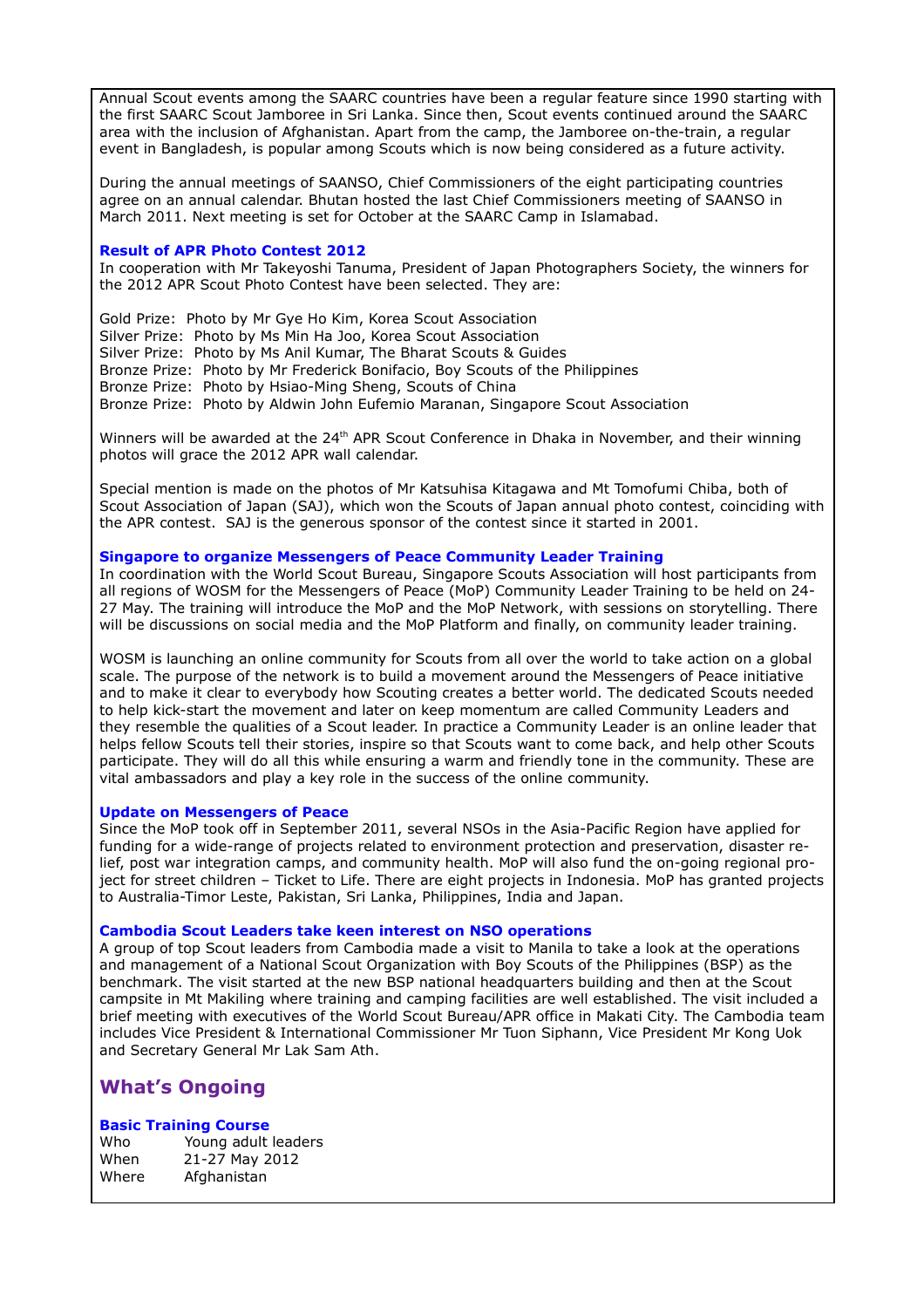Annual Scout events among the SAARC countries have been a regular feature since 1990 starting with the first SAARC Scout Jamboree in Sri Lanka. Since then, Scout events continued around the SAARC area with the inclusion of Afghanistan. Apart from the camp, the Jamboree on-the-train, a regular event in Bangladesh, is popular among Scouts which is now being considered as a future activity.

During the annual meetings of SAANSO, Chief Commissioners of the eight participating countries agree on an annual calendar. Bhutan hosted the last Chief Commissioners meeting of SAANSO in March 2011. Next meeting is set for October at the SAARC Camp in Islamabad.

#### **Result of APR Photo Contest 2012**

In cooperation with Mr Takeyoshi Tanuma, President of Japan Photographers Society, the winners for the 2012 APR Scout Photo Contest have been selected. They are:

Gold Prize: Photo by Mr Gye Ho Kim, Korea Scout Association Silver Prize: Photo by Ms Min Ha Joo, Korea Scout Association Silver Prize: Photo by Ms Anil Kumar, The Bharat Scouts & Guides Bronze Prize: Photo by Mr Frederick Bonifacio, Boy Scouts of the Philippines Bronze Prize: Photo by Hsiao-Ming Sheng, Scouts of China Bronze Prize: Photo by Aldwin John Eufemio Maranan, Singapore Scout Association

Winners will be awarded at the 24<sup>th</sup> APR Scout Conference in Dhaka in November, and their winning photos will grace the 2012 APR wall calendar.

Special mention is made on the photos of Mr Katsuhisa Kitagawa and Mt Tomofumi Chiba, both of Scout Association of Japan (SAJ), which won the Scouts of Japan annual photo contest, coinciding with the APR contest. SAJ is the generous sponsor of the contest since it started in 2001.

### **Singapore to organize Messengers of Peace Community Leader Training**

In coordination with the World Scout Bureau, Singapore Scouts Association will host participants from all regions of WOSM for the Messengers of Peace (MoP) Community Leader Training to be held on 24- 27 May. The training will introduce the MoP and the MoP Network, with sessions on storytelling. There will be discussions on social media and the MoP Platform and finally, on community leader training.

WOSM is launching an online community for Scouts from all over the world to take action on a global scale. The purpose of the network is to build a movement around the Messengers of Peace initiative and to make it clear to everybody how Scouting creates a better world. The dedicated Scouts needed to help kick-start the movement and later on keep momentum are called Community Leaders and they resemble the qualities of a Scout leader. In practice a Community Leader is an online leader that helps fellow Scouts tell their stories, inspire so that Scouts want to come back, and help other Scouts participate. They will do all this while ensuring a warm and friendly tone in the community. These are vital ambassadors and play a key role in the success of the online community.

#### **Update on Messengers of Peace**

Since the MoP took off in September 2011, several NSOs in the Asia-Pacific Region have applied for funding for a wide-range of projects related to environment protection and preservation, disaster relief, post war integration camps, and community health. MoP will also fund the on-going regional project for street children – Ticket to Life. There are eight projects in Indonesia. MoP has granted projects to Australia-Timor Leste, Pakistan, Sri Lanka, Philippines, India and Japan.

#### **Cambodia Scout Leaders take keen interest on NSO operations**

A group of top Scout leaders from Cambodia made a visit to Manila to take a look at the operations and management of a National Scout Organization with Boy Scouts of the Philippines (BSP) as the benchmark. The visit started at the new BSP national headquarters building and then at the Scout campsite in Mt Makiling where training and camping facilities are well established. The visit included a brief meeting with executives of the World Scout Bureau/APR office in Makati City. The Cambodia team includes Vice President & International Commissioner Mr Tuon Siphann, Vice President Mr Kong Uok and Secretary General Mr Lak Sam Ath.

# **What's Ongoing**

## **Basic Training Course**

| Who   | Young adult leaders |
|-------|---------------------|
| When  | 21-27 May 2012      |
| Where | Afghanistan         |